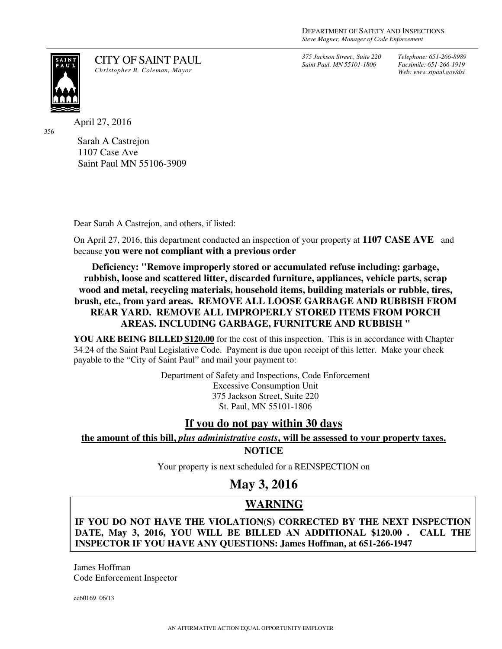*375 Jackson Street., Suite 220 Saint Paul, MN 55101-1806*

*Telephone: 651-266-8989 Facsimile: 651-266-1919 Web: www.stpaul.gov/dsi*

356

CITY OF SAINT PAUL *Christopher B. Coleman, Mayor* 

April 27, 2016

Sarah A Castrejon 1107 Case Ave Saint Paul MN 55106-3909

Dear Sarah A Castrejon, and others, if listed:

On April 27, 2016, this department conducted an inspection of your property at **1107 CASE AVE** and because **you were not compliant with a previous order**

**Deficiency: "Remove improperly stored or accumulated refuse including: garbage, rubbish, loose and scattered litter, discarded furniture, appliances, vehicle parts, scrap wood and metal, recycling materials, household items, building materials or rubble, tires, brush, etc., from yard areas. REMOVE ALL LOOSE GARBAGE AND RUBBISH FROM REAR YARD. REMOVE ALL IMPROPERLY STORED ITEMS FROM PORCH AREAS. INCLUDING GARBAGE, FURNITURE AND RUBBISH "** 

**YOU ARE BEING BILLED \$120.00** for the cost of this inspection. This is in accordance with Chapter 34.24 of the Saint Paul Legislative Code. Payment is due upon receipt of this letter. Make your check payable to the "City of Saint Paul" and mail your payment to:

> Department of Safety and Inspections, Code Enforcement Excessive Consumption Unit 375 Jackson Street, Suite 220 St. Paul, MN 55101-1806

### **If you do not pay within 30 days**

**the amount of this bill,** *plus administrative costs***, will be assessed to your property taxes.**

**NOTICE** 

Your property is next scheduled for a REINSPECTION on

**May 3, 2016** 

## **WARNING**

**IF YOU DO NOT HAVE THE VIOLATION(S) CORRECTED BY THE NEXT INSPECTION DATE, May 3, 2016, YOU WILL BE BILLED AN ADDITIONAL \$120.00 . CALL THE INSPECTOR IF YOU HAVE ANY QUESTIONS: James Hoffman, at 651-266-1947**

James Hoffman Code Enforcement Inspector

ec60169 06/13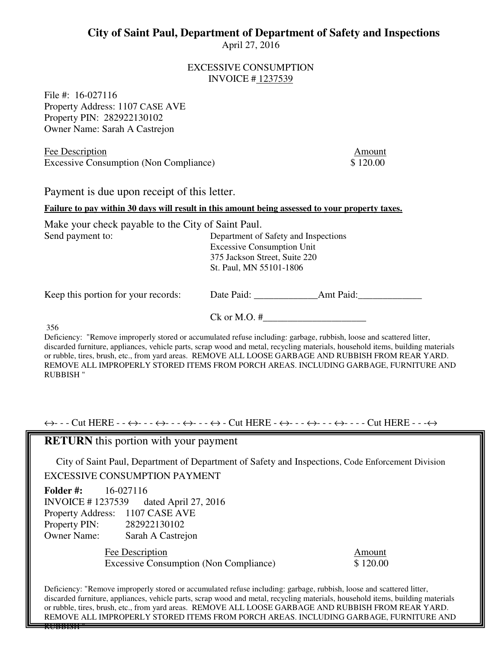# **City of Saint Paul, Department of Department of Safety and Inspections**

April 27, 2016

#### EXCESSIVE CONSUMPTION INVOICE # 1237539

File #: 16-027116 Property Address: 1107 CASE AVE Property PIN: 282922130102 Owner Name: Sarah A Castrejon

Fee Description Amount Excessive Consumption (Non Compliance) \$ 120.00

Payment is due upon receipt of this letter.

#### **Failure to pay within 30 days will result in this amount being assessed to your property taxes.**

Make your check payable to the City of Saint Paul. Send payment to: Department of Safety and Inspections

Excessive Consumption Unit 375 Jackson Street, Suite 220 St. Paul, MN 55101-1806

Keep this portion for your records: Date Paid: \_\_\_\_\_\_\_\_\_\_\_\_\_Amt Paid:\_\_\_\_\_\_\_\_\_\_\_\_\_

 $Ck$  or M.O.  $#$ 

356

Deficiency: "Remove improperly stored or accumulated refuse including: garbage, rubbish, loose and scattered litter, discarded furniture, appliances, vehicle parts, scrap wood and metal, recycling materials, household items, building materials or rubble, tires, brush, etc., from yard areas. REMOVE ALL LOOSE GARBAGE AND RUBBISH FROM REAR YARD. REMOVE ALL IMPROPERLY STORED ITEMS FROM PORCH AREAS. INCLUDING GARBAGE, FURNITURE AND RUBBISH "

 $\leftrightarrow$  - - - Cut HERE - - ↔ - - ← - - ← - - ← - → - → Cut HERE - ← - - ← - - ← - - ← Cut HERE - - - ←

#### **RETURN** this portion with your payment

City of Saint Paul, Department of Department of Safety and Inspections, Code Enforcement Division EXCESSIVE CONSUMPTION PAYMENT

**Folder #:** 16-027116 INVOICE # 1237539 dated April 27, 2016 Property Address: 1107 CASE AVE Property PIN: 282922130102 Owner Name: Sarah A Castrejon

> Fee Description Amount Excessive Consumption (Non Compliance) \$120.00

Deficiency: "Remove improperly stored or accumulated refuse including: garbage, rubbish, loose and scattered litter, discarded furniture, appliances, vehicle parts, scrap wood and metal, recycling materials, household items, building materials or rubble, tires, brush, etc., from yard areas. REMOVE ALL LOOSE GARBAGE AND RUBBISH FROM REAR YARD. REMOVE ALL IMPROPERLY STORED ITEMS FROM PORCH AREAS. INCLUDING GARBAGE, FURNITURE AND RUBBISH "